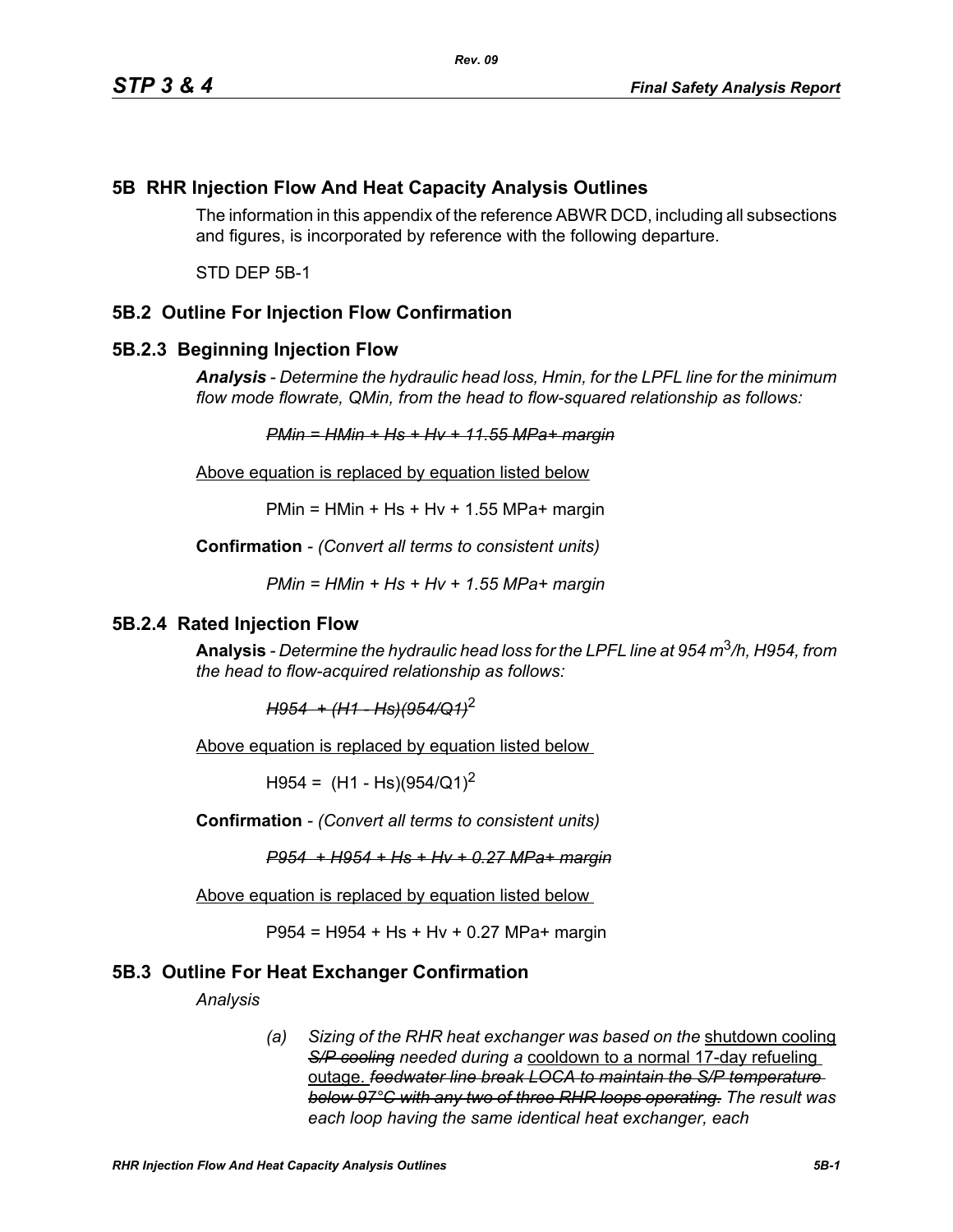# **5B RHR Injection Flow And Heat Capacity Analysis Outlines**

The information in this appendix of the reference ABWR DCD, including all subsections and figures, is incorporated by reference with the following departure.

STD DEP 5B-1

## **5B.2 Outline For Injection Flow Confirmation**

### **5B.2.3 Beginning Injection Flow**

*Analysis - Determine the hydraulic head loss, Hmin, for the LPFL line for the minimum flow mode flowrate, QMin, from the head to flow-squared relationship as follows:*

*PMin = HMin + Hs + Hv + 11.55 MPa+ margin*

Above equation is replaced by equation listed below

 $PMin = HMin + Hs + Hv + 1.55 MPa + margin$ 

**Confirmation** *- (Convert all terms to consistent units)*

*PMin = HMin + Hs + Hv + 1.55 MPa+ margin*

#### **5B.2.4 Rated Injection Flow**

**Analysis** *- Determine the hydraulic head loss for the LPFL line at 954 m*3*/h, H954, from the head to flow-acquired relationship as follows:*

*H954 + (H1 - Hs)(954/Q1)*<sup>2</sup>

Above equation is replaced by equation listed below

 $H954 = (H1 - Hs)(954/Q1)^2$ 

**Confirmation** *- (Convert all terms to consistent units)*

*P954 + H954 + Hs + Hv + 0.27 MPa+ margin*

Above equation is replaced by equation listed below

P954 = H954 + Hs + Hv + 0.27 MPa+ margin

### **5B.3 Outline For Heat Exchanger Confirmation**

*Analysis*

*(a) Sizing of the RHR heat exchanger was based on the* shutdown cooling *S/P cooling needed during a* cooldown to a normal 17-day refueling outage. *feedwater line break LOCA to maintain the S/P temperature below 97°C with any two of three RHR loops operating. The result was each loop having the same identical heat exchanger, each*